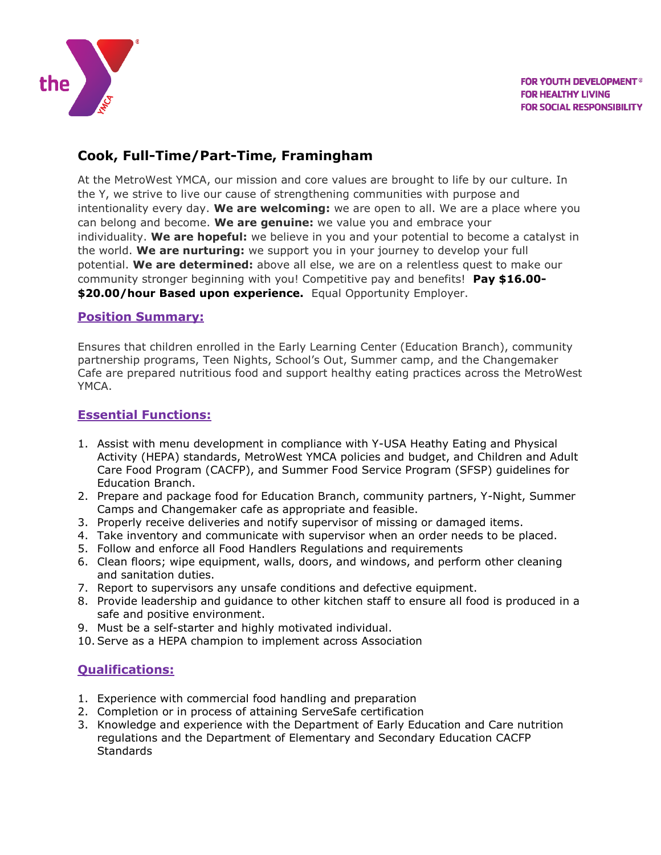

## **Cook, Full-Time/Part-Time, Framingham**

At the MetroWest YMCA, our mission and core values are brought to life by our culture. In the Y, we strive to live our cause of strengthening communities with purpose and intentionality every day. **We are welcoming:** we are open to all. We are a place where you can belong and become. **We are genuine:** we value you and embrace your individuality. **We are hopeful:** we believe in you and your potential to become a catalyst in the world. **We are nurturing:** we support you in your journey to develop your full potential. **We are determined:** above all else, we are on a relentless quest to make our community stronger beginning with you! Competitive pay and benefits! **Pay \$16.00- \$20.00/hour Based upon experience.** Equal Opportunity Employer.

## **Position Summary:**

Ensures that children enrolled in the Early Learning Center (Education Branch), community partnership programs, Teen Nights, School's Out, Summer camp, and the Changemaker Cafe are prepared nutritious food and support healthy eating practices across the MetroWest YMCA.

## **Essential Functions:**

- 1. Assist with menu development in compliance with Y-USA Heathy Eating and Physical Activity (HEPA) standards, MetroWest YMCA policies and budget, and Children and Adult Care Food Program (CACFP), and Summer Food Service Program (SFSP) guidelines for Education Branch.
- 2. Prepare and package food for Education Branch, community partners, Y-Night, Summer Camps and Changemaker cafe as appropriate and feasible.
- 3. Properly receive deliveries and notify supervisor of missing or damaged items.
- 4. Take inventory and communicate with supervisor when an order needs to be placed.
- 5. Follow and enforce all Food Handlers Regulations and requirements
- 6. Clean floors; wipe equipment, walls, doors, and windows, and perform other cleaning and sanitation duties.
- 7. Report to supervisors any unsafe conditions and defective equipment.
- 8. Provide leadership and guidance to other kitchen staff to ensure all food is produced in a safe and positive environment.
- 9. Must be a self-starter and highly motivated individual.
- 10.Serve as a HEPA champion to implement across Association

## **Qualifications:**

- 1. Experience with commercial food handling and preparation
- 2. Completion or in process of attaining ServeSafe certification
- 3. Knowledge and experience with the Department of Early Education and Care nutrition regulations and the Department of Elementary and Secondary Education CACFP **Standards**